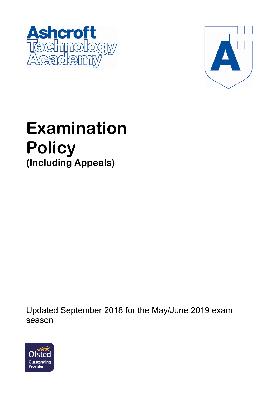



# **Examination Policy (Including Appeals)**

Updated September 2018 for the May/June 2019 exam season

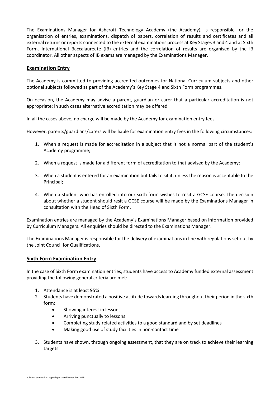The Examinations Manager for Ashcroft Technology Academy (the Academy), is responsible for the organisation of entries, examinations, dispatch of papers, correlation of results and certificates and all external returns or reports connected to the external examinations process at Key Stages 3 and 4 and at Sixth Form. International Baccalaureate (IB) entries and the correlation of results are organised by the IB coordinator. All other aspects of IB exams are managed by the Examinations Manager.

#### **Examination Entry**

The Academy is committed to providing accredited outcomes for National Curriculum subjects and other optional subjects followed as part of the Academy's Key Stage 4 and Sixth Form programmes.

On occasion, the Academy may advise a parent, guardian or carer that a particular accreditation is not appropriate; in such cases alternative accreditation may be offered.

In all the cases above, no charge will be made by the Academy for examination entry fees.

However, parents/guardians/carers will be liable for examination entry fees in the following circumstances:

- 1. When a request is made for accreditation in a subject that is not a normal part of the student's Academy programme;
- 2. When a request is made for a different form of accreditation to that advised by the Academy;
- 3. When a student is entered for an examination but fails to sit it, unless the reason is acceptable to the Principal;
- 4. When a student who has enrolled into our sixth form wishes to resit a GCSE course. The decision about whether a student should resit a GCSE course will be made by the Examinations Manager in consultation with the Head of Sixth Form.

Examination entries are managed by the Academy's Examinations Manager based on information provided by Curriculum Managers. All enquiries should be directed to the Examinations Manager.

The Examinations Manager is responsible for the delivery of examinations in line with regulations set out by the Joint Council for Qualifications.

#### **Sixth Form Examination Entry**

In the case of Sixth Form examination entries, students have access to Academy funded external assessment providing the following general criteria are met:

- 1. Attendance is at least 95%
- 2. Students have demonstrated a positive attitude towards learning throughout their period in the sixth form:
	- Showing interest in lessons
	- Arriving punctually to lessons
	- Completing study related activities to a good standard and by set deadlines
	- Making good use of study facilities in non-contact time
- 3. Students have shown, through ongoing assessment, that they are on track to achieve their learning targets.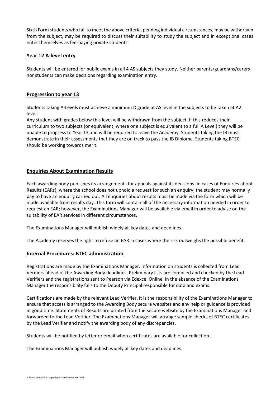Sixth Form students who fail to meet the above criteria, pending individual circumstances, may be withdrawn from the subject, may be required to discuss their suitability to study the subject and in exceptional cases enter themselves as fee-paying private students.

## **Year 12 A-level entry**

Students will be entered for public exams in all 4 AS subjects they study. Neither parents/guardians/carers nor students can make decisions regarding examination entry.

#### **Progression to year 13**

Students taking A-Levels must achieve a minimum D grade at AS level in the subjects to be taken at A2 level.

Any student with grades below this level will be withdrawn from the subject. If this reduces their curriculum to two subjects (or equivalent, where one subject is equivalent to a full A Level) they will be unable to progress to Year 13 and will be required to leave the Academy. Students taking the IB must demonstrate in their assessments that they are on track to pass the IB Diploma. Students taking BTEC should be working towards merit.

#### **Enquiries About Examination Results**

Each awarding body publishes its arrangements for appeals against its decisions. In cases of Enquiries about Results (EARs), where the school does not uphold a request for such an enquiry, the student may normally pay to have an enquiry carried out. All enquiries about results must be made via the form which will be made available from results day. This form will contain all of the necessary information needed in order to request an EAR; however, the Examinations Manager will be available via email in order to advise on the suitability of EAR services in different circumstances.

The Examinations Manager will publish widely all key dates and deadlines.

The Academy reserves the right to refuse an EAR in cases where the risk outweighs the possible benefit.

#### **Internal Procedures: BTEC administration**

Registrations are made by the Examinations Manager. Information on students is collected from Lead Verifiers ahead of the Awarding Body deadlines. Preliminary lists are compiled and checked by the Lead Verifiers and the registrations sent to Pearson via Edexcel Online. In the absence of the Examinations Manager the responsibility falls to the Deputy Principal responsible for data and exams.

Certifications are made by the relevant Lead Verifier. It is the responsibility of the Examinations Manager to ensure that access is arranged to the Awarding Body secure websites and any help or guidance is provided in good time. Statements of Results are printed from the secure website by the Examinations Manager and forwarded to the Lead Verifier. The Examinations Manager will arrange sample checks of BTEC certificates by the Lead Verifier and notify the awarding body of any discrepancies.

Students will be notified by letter or email when certificates are available for collection.

The Examinations Manager will publish widely all key dates and deadlines.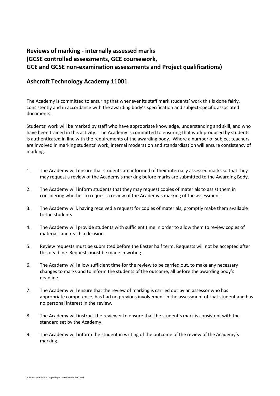# **Reviews of marking - internally assessed marks (GCSE controlled assessments, GCE coursework, GCE and GCSE non-examination assessments and Project qualifications)**

# **Ashcroft Technology Academy 11001**

The Academy is committed to ensuring that whenever its staff mark students' work this is done fairly, consistently and in accordance with the awarding body's specification and subject-specific associated documents.

Students' work will be marked by staff who have appropriate knowledge, understanding and skill, and who have been trained in this activity. The Academy is committed to ensuring that work produced by students is authenticated in line with the requirements of the awarding body. Where a number of subject teachers are involved in marking students' work, internal moderation and standardisation will ensure consistency of marking.

- 1. The Academy will ensure that students are informed of their internally assessed marks so that they may request a review of the Academy's marking before marks are submitted to the Awarding Body.
- 2. The Academy will inform students that they may request copies of materials to assist them in considering whether to request a review of the Academy's marking of the assessment.
- 3. The Academy will, having received a request for copies of materials, promptly make them available to the students.
- 4. The Academy will provide students with sufficient time in order to allow them to review copies of materials and reach a decision.
- 5. Review requests must be submitted before the Easter half term. Requests will not be accepted after this deadline. Requests **must** be made in writing.
- 6. The Academy will allow sufficient time for the review to be carried out, to make any necessary changes to marks and to inform the students of the outcome, all before the awarding body's deadline.
- 7. The Academy will ensure that the review of marking is carried out by an assessor who has appropriate competence, has had no previous involvement in the assessment of that student and has no personal interest in the review.
- 8. The Academy will instruct the reviewer to ensure that the student's mark is consistent with the standard set by the Academy.
- 9. The Academy will inform the student in writing of the outcome of the review of the Academy's marking.